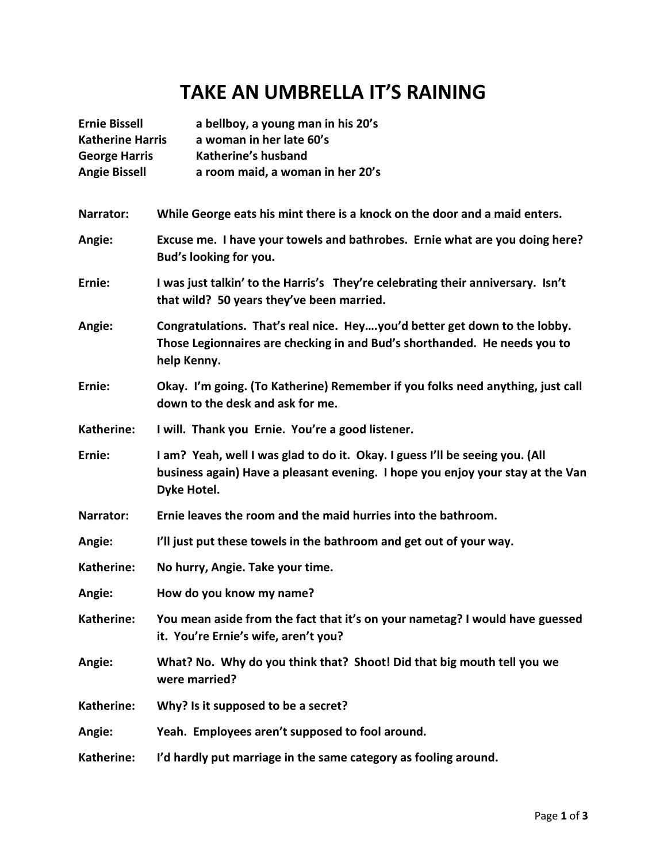## **TAKE AN UMBRELLA IT'S RAINING**

| <b>Ernie Bissell</b><br><b>Katherine Harris</b><br><b>George Harris</b><br><b>Angie Bissell</b> | a bellboy, a young man in his 20's<br>a woman in her late 60's<br>Katherine's husband<br>a room maid, a woman in her 20's                                                     |  |
|-------------------------------------------------------------------------------------------------|-------------------------------------------------------------------------------------------------------------------------------------------------------------------------------|--|
| Narrator:                                                                                       | While George eats his mint there is a knock on the door and a maid enters.                                                                                                    |  |
| Angie:                                                                                          | Excuse me. I have your towels and bathrobes. Ernie what are you doing here?<br>Bud's looking for you.                                                                         |  |
| Ernie:                                                                                          | I was just talkin' to the Harris's They're celebrating their anniversary. Isn't<br>that wild? 50 years they've been married.                                                  |  |
| Angie:                                                                                          | Congratulations. That's real nice. Heyyou'd better get down to the lobby.<br>Those Legionnaires are checking in and Bud's shorthanded. He needs you to<br>help Kenny.         |  |
| Ernie:                                                                                          | Okay. I'm going. (To Katherine) Remember if you folks need anything, just call<br>down to the desk and ask for me.                                                            |  |
| Katherine:                                                                                      | I will. Thank you Ernie. You're a good listener.                                                                                                                              |  |
| Ernie:                                                                                          | I am? Yeah, well I was glad to do it. Okay. I guess I'll be seeing you. (All<br>business again) Have a pleasant evening. I hope you enjoy your stay at the Van<br>Dyke Hotel. |  |
| Narrator:                                                                                       | Ernie leaves the room and the maid hurries into the bathroom.                                                                                                                 |  |
| Angie:                                                                                          | I'll just put these towels in the bathroom and get out of your way.                                                                                                           |  |
| Katherine:                                                                                      | No hurry, Angie. Take your time.                                                                                                                                              |  |
| Angie:                                                                                          | How do you know my name?                                                                                                                                                      |  |
| Katherine:                                                                                      | You mean aside from the fact that it's on your nametag? I would have guessed<br>it. You're Ernie's wife, aren't you?                                                          |  |
| Angie:                                                                                          | What? No. Why do you think that? Shoot! Did that big mouth tell you we<br>were married?                                                                                       |  |
| Katherine:                                                                                      | Why? Is it supposed to be a secret?                                                                                                                                           |  |
| Angie:                                                                                          | Yeah. Employees aren't supposed to fool around.                                                                                                                               |  |
| Katherine:                                                                                      | I'd hardly put marriage in the same category as fooling around.                                                                                                               |  |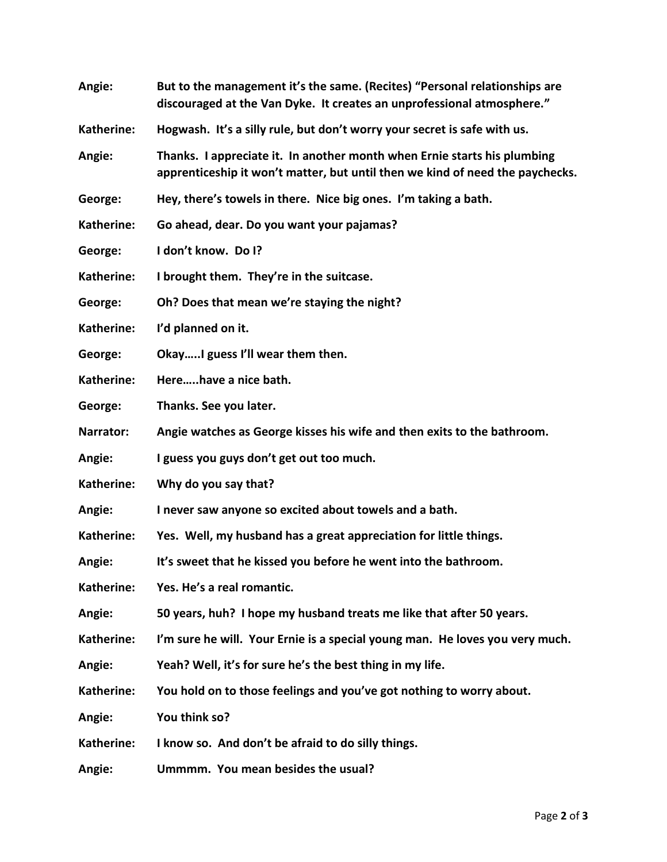| Angie:     | But to the management it's the same. (Recites) "Personal relationships are<br>discouraged at the Van Dyke. It creates an unprofessional atmosphere."      |
|------------|-----------------------------------------------------------------------------------------------------------------------------------------------------------|
| Katherine: | Hogwash. It's a silly rule, but don't worry your secret is safe with us.                                                                                  |
| Angie:     | Thanks. I appreciate it. In another month when Ernie starts his plumbing<br>apprenticeship it won't matter, but until then we kind of need the paychecks. |
| George:    | Hey, there's towels in there. Nice big ones. I'm taking a bath.                                                                                           |
| Katherine: | Go ahead, dear. Do you want your pajamas?                                                                                                                 |
| George:    | I don't know. Do I?                                                                                                                                       |
| Katherine: | I brought them. They're in the suitcase.                                                                                                                  |
| George:    | Oh? Does that mean we're staying the night?                                                                                                               |
| Katherine: | I'd planned on it.                                                                                                                                        |
| George:    | OkayI guess I'll wear them then.                                                                                                                          |
| Katherine: | Herehave a nice bath.                                                                                                                                     |
| George:    | Thanks. See you later.                                                                                                                                    |
| Narrator:  | Angie watches as George kisses his wife and then exits to the bathroom.                                                                                   |
| Angie:     | I guess you guys don't get out too much.                                                                                                                  |
| Katherine: | Why do you say that?                                                                                                                                      |
| Angie:     | I never saw anyone so excited about towels and a bath.                                                                                                    |
| Katherine: | Yes. Well, my husband has a great appreciation for little things.                                                                                         |
| Angie:     | It's sweet that he kissed you before he went into the bathroom.                                                                                           |
| Katherine: | Yes. He's a real romantic.                                                                                                                                |
| Angie:     | 50 years, huh? I hope my husband treats me like that after 50 years.                                                                                      |
| Katherine: | I'm sure he will. Your Ernie is a special young man. He loves you very much.                                                                              |
| Angie:     | Yeah? Well, it's for sure he's the best thing in my life.                                                                                                 |
| Katherine: | You hold on to those feelings and you've got nothing to worry about.                                                                                      |
| Angie:     | You think so?                                                                                                                                             |
| Katherine: | I know so. And don't be afraid to do silly things.                                                                                                        |
| Angie:     | Ummmm. You mean besides the usual?                                                                                                                        |